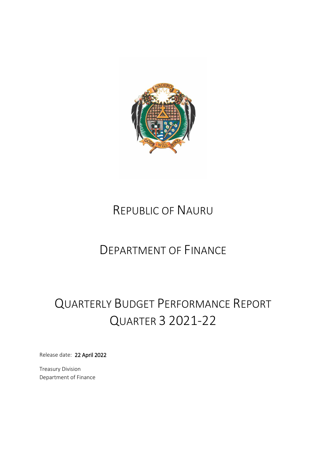

# REPUBLIC OF NAURU

# DEPARTMENT OF FINANCE

# QUARTERLY BUDGET PERFORMANCE REPORT QUARTER 3 2021-22

Release date: 22 April 2022

Treasury Division Department of Finance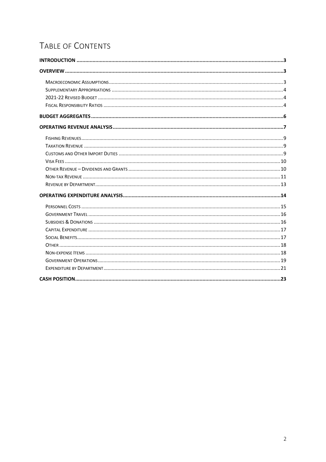# TABLE OF CONTENTS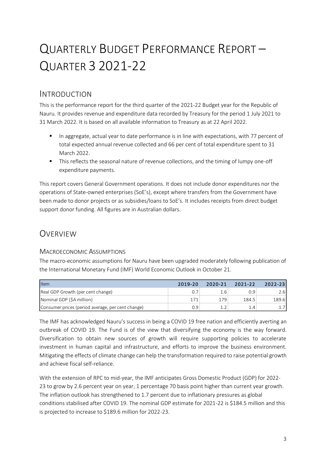# QUARTERLY BUDGET PERFORMANCE REPORT – QUARTER 3 2021-22

# <span id="page-2-0"></span>INTRODUCTION

This is the performance report for the third quarter of the 2021-22 Budget year for the Republic of Nauru. It provides revenue and expenditure data recorded by Treasury for the period 1 July 2021 to 31 March 2022. It is based on all available information to Treasury as at 22 April 2022.

- In aggregate, actual year to date performance is in line with expectations, with 77 percent of total expected annual revenue collected and 66 per cent of total expenditure spent to 31 March 2022.
- This reflects the seasonal nature of revenue collections, and the timing of lumpy one-off expenditure payments.

This report covers General Government operations. It does not include donor expenditures nor the operations of State-owned enterprises (SoE's), except where transfers from the Government have been made to donor projects or as subsidies/loans to SoE's. It includes receipts from direct budget support donor funding. All figures are in Australian dollars.

# <span id="page-2-1"></span>**OVERVIEW**

# <span id="page-2-2"></span>MACROECONOMIC ASSUMPTIONS

The macro-economic assumptions for Nauru have been upgraded moderately following publication of the International Monetary Fund (IMF) World Economic Outlook in October 21.

| Item                                              | 2019-20 | 2020-21 | 2021-22 | $2022 - 23$ |
|---------------------------------------------------|---------|---------|---------|-------------|
| Real GDP Growth (per cent change)                 |         | 1.6     | 0.9     | 2.61        |
| Nominal GDP (\$A million)                         | 171     | 179     | 184.5   | 189.6       |
| Consumer prices (period average, per cent change) | 0.9     |         | 14      |             |

The IMF has acknowledged Nauru's success in being a COVID 19 free nation and efficiently averting an outbreak of COVID 19. The Fund is of the view that diversifying the economy is the way forward. Diversification to obtain new sources of growth will require supporting policies to accelerate investment in human capital and infrastructure, and efforts to improve the business environment. Mitigating the effects of climate change can help the transformation required to raise potential growth and achieve fiscal self-reliance.

With the extension of RPC to mid-year, the IMF anticipates Gross Domestic Product (GDP) for 2022- 23 to grow by 2.6 percent year on year, 1 percentage 70 basis point higher than current year growth. The inflation outlook has strengthened to 1.7 percent due to inflationary pressures as global conditions stabilised after COVID 19. The nominal GDP estimate for 2021-22 is \$184.5 million and this is projected to increase to \$189.6 million for 2022-23.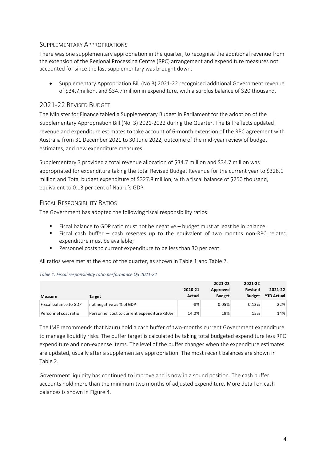# <span id="page-3-0"></span>SUPPLEMENTARY APPROPRIATIONS

There was one supplementary appropriation in the quarter, to recognise the additional revenue from the extension of the Regional Processing Centre (RPC) arrangement and expenditure measures not accounted for since the last supplementary was brought down.

• Supplementary Appropriation Bill (No.3) 2021-22 recognised additional Government revenue of \$34.7million, and \$34.7 million in expenditure, with a surplus balance of \$20 thousand.

# <span id="page-3-1"></span>2021-22 REVISED BUDGET

The Minister for Finance tabled a Supplementary Budget in Parliament for the adoption of the Supplementary Appropriation Bill (No. 3) 2021-2022 during the Quarter. The Bill reflects updated revenue and expenditure estimates to take account of 6-month extension of the RPC agreement with Australia from 31 December 2021 to 30 June 2022, outcome of the mid-year review of budget estimates, and new expenditure measures.

Supplementary 3 provided a total revenue allocation of \$34.7 million and \$34.7 million was appropriated for expenditure taking the total Revised Budget Revenue for the current year to \$328.1 million and Total budget expenditure of \$327.8 million, with a fiscal balance of \$250 thousand, equivalent to 0.13 per cent of Nauru's GDP.

## <span id="page-3-2"></span>FISCAL RESPONSIBILITY RATIOS

The Government has adopted the following fiscal responsibility ratios:

- Fiscal balance to GDP ratio must not be negative budget must at least be in balance;
- Fiscal cash buffer cash reserves up to the equivalent of two months non-RPC related expenditure must be available;
- Personnel costs to current expenditure to be less than 30 per cent.

All ratios were met at the end of the quarter, as shown in Table 1 and Table 2.

#### *Table 1: Fiscal responsibility ratio performance Q3 2021-22*

| Measure               | Target                                     | 2020-21<br>Actual | 2021-22<br>Approved<br><b>Budget</b> | 2021-22<br><b>Revised</b><br><b>Budget</b> | 2021-22<br><b>YTD Actual</b> |
|-----------------------|--------------------------------------------|-------------------|--------------------------------------|--------------------------------------------|------------------------------|
| Fiscal balance to GDP | not negative as % of GDP                   | $-8\%$            | 0.05%                                | 0.13%                                      | 22%                          |
| Personnel cost ratio  | Personnel cost to current expenditure <30% | 14.0%             | 19%                                  | 15%                                        | 14%                          |

The IMF recommends that Nauru hold a cash buffer of two-months current Government expenditure to manage liquidity risks. The buffer target is calculated by taking total budgeted expenditure less RPC expenditure and non-expense items. The level of the buffer changes when the expenditure estimates are updated, usually after a supplementary appropriation. The most recent balances are shown in Table 2.

Government liquidity has continued to improve and is now in a sound position. The cash buffer accounts hold more than the minimum two months of adjusted expenditure. More detail on cash balances is shown in Figure 4.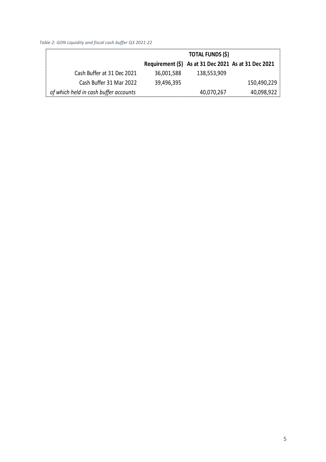*Table 2: GON Liquidity and fiscal cash buffer Q3 2021-22*

|                                       |            | <b>TOTAL FUNDS (\$)</b>                              |             |
|---------------------------------------|------------|------------------------------------------------------|-------------|
|                                       |            | Requirement (\$) As at 31 Dec 2021 As at 31 Dec 2021 |             |
| Cash Buffer at 31 Dec 2021            | 36,001,588 | 138,553,909                                          |             |
| Cash Buffer 31 Mar 2022               | 39,496,395 |                                                      | 150,490,229 |
| of which held in cash buffer accounts |            | 40,070,267                                           | 40,098,922  |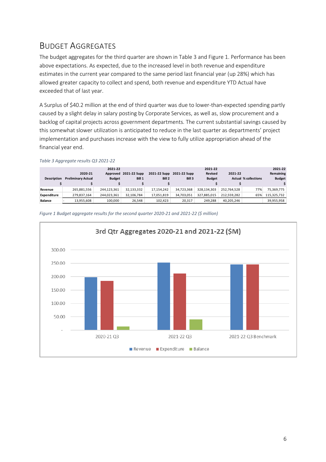# <span id="page-5-0"></span>BUDGET AGGREGATES

The budget aggregates for the third quarter are shown in Table 3 and Figure 1. Performance has been above expectations. As expected, due to the increased level in both revenue and expenditure estimates in the current year compared to the same period last financial year (up 28%) which has allowed greater capacity to collect and spend, both revenue and expenditure YTD Actual have exceeded that of last year.

A Surplus of \$40.2 million at the end of third quarter was due to lower-than-expected spending partly caused by a slight delay in salary posting by Corporate Services, as well as, slow procurement and a backlog of capital projects across government departments. The current substantial savings caused by this somewhat slower utilization is anticipated to reduce in the last quarter as departments' project implementation and purchases increase with the view to fully utilize appropriation ahead of the financial year end.

| <b>Description</b> | 2020-21<br><b>Preliminary Actual</b> | 2021-22<br><b>Budget</b> | Approved 2021-22 Supp<br>Bill 1 | 2021-22 Supp<br>Bill 2 | 2021-22 Supp<br>Bill 3 | 2021-22<br><b>Revised</b><br><b>Budget</b> | 2021-22     | <b>Actual % collections</b> | 2021-22<br>Remaining<br><b>Budget</b> |
|--------------------|--------------------------------------|--------------------------|---------------------------------|------------------------|------------------------|--------------------------------------------|-------------|-----------------------------|---------------------------------------|
|                    |                                      |                          |                                 |                        |                        |                                            |             |                             |                                       |
| Revenue            | 265,881,556                          | 244,123,361              | 32,133,332                      | 17.154.242             | 34,723,368             | 328,134,303                                | 252,764,528 | 77%                         | 75,369,775                            |
| Expenditure        | 279,837,164                          | 244,023,361              | 32,106,784                      | 17,051,819             | 34,703,051             | 327,885,015                                | 212.559.282 | 65%                         | 115,325,732                           |
| <b>Balance</b>     | 13.955.608                           | 100.000                  | 26,548                          | 102,423                | 20,317                 | 249,288                                    | 40,205,246  |                             | 39,955,958                            |

*Table 3 Aggregate results Q3 2021-22*



*Figure 1 Budget aggregate results for the second quarter 2020-21 and 2021-22 (\$ million)*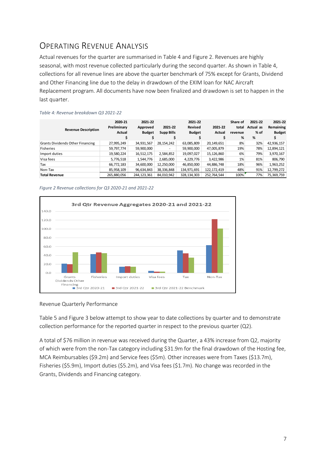# <span id="page-6-0"></span>OPERATING REVENUE ANALYSIS

Actual revenues for the quarter are summarised in Table 4 and Figure 2. Revenues are highly seasonal, with most revenue collected particularly during the second quarter. As shown in Table 4, collections for all revenue lines are above the quarter benchmark of 75% except for Grants, Dividend and Other Financing line due to the delay in drawdown of the EXIM loan for NAC Aircraft Replacement program. All documents have now been finalized and drawdown is set to happen in the last quarter.

| <b>Revenue Description</b>       | 2020-21<br>Preliminary<br>Actual | 2021-22<br>Approved<br><b>Budget</b> | 2021-22<br><b>Supp Bills</b> | 2021-22<br>Revised<br><b>Budget</b> | 2021-22<br>Actual | Share of<br>total<br>revenue<br>% | 2021-22<br>Actual as<br>% of<br>% | 2021-22<br>Remaining<br><b>Budget</b> |
|----------------------------------|----------------------------------|--------------------------------------|------------------------------|-------------------------------------|-------------------|-----------------------------------|-----------------------------------|---------------------------------------|
| Grants Dividends Other Financing | 27,995,249                       | 34,931,567                           | 28,154,242                   | 63,085,809                          | 20,149,651        | 8%                                | 32%                               | 42,936,157                            |
| <b>Fisheries</b>                 | 59,797,774                       | 59,900,000                           | ۰.                           | 59,900,000                          | 47,005,879        | 19%                               | 78%                               | 12,894,121                            |
| Import duties                    | 19,580,224                       | 16,512,175                           | 2,584,852                    | 19,097,027                          | 15,126,860        | 6%                                | 79%                               | 3,970,167                             |
| Visa fees                        | 5,776,518                        | 1,544,776                            | 2,685,000                    | 4,229,776                           | 3,422,986         | 1%                                | 81%                               | 806,790                               |
| Tax                              | 66,772,183                       | 34,600,000                           | 12,250,000                   | 46,850,000                          | 44,886,748        | 18%                               | 96%                               | 1,963,252                             |
| Non-Tax                          | 85,958,109                       | 96,634,843                           | 38,336,848                   | 134,971,691                         | 122,172,419       | 48%                               | 91%                               | 12,799,272                            |
| <b>Total Revenue</b>             | 265,880,056                      | 244,123,361                          | 84,010,942                   | 328, 134, 303                       | 252,764,544       | 100%                              | 77%                               | 75,369,759                            |

#### *Table 4: Revenue breakdown Q3 2021-22*





#### Revenue Quarterly Performance

Table 5 and Figure 3 below attempt to show year to date collections by quarter and to demonstrate collection performance for the reported quarter in respect to the previous quarter (Q2).

A total of \$76 million in revenue was received during the Quarter, a 43% increase from Q2, majority of which were from the non-Tax category including \$31.9m for the final drawdown of the Hosting fee, MCA Reimbursables (\$9.2m) and Service fees (\$5m). Other increases were from Taxes (\$13.7m), Fisheries (\$5.9m), Import duties (\$5.2m), and Visa fees (\$1.7m). No change was recorded in the Grants, Dividends and Financing category.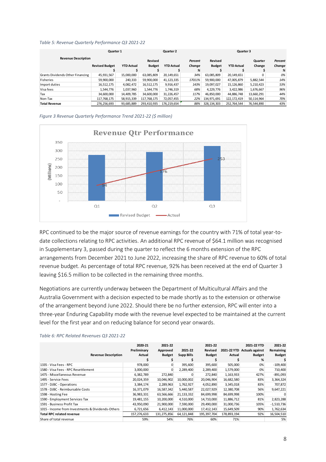| Table 5: Revenue Quarterly Performance Q3 2021-22 |  |  |
|---------------------------------------------------|--|--|
|---------------------------------------------------|--|--|

| Quarter 1                        |                       |                   |               | Quarter 2         |         |               | Quarter 3         |            |         |  |
|----------------------------------|-----------------------|-------------------|---------------|-------------------|---------|---------------|-------------------|------------|---------|--|
| <b>Revenue Description</b>       |                       |                   | Revised       |                   | Percent | Revised       |                   | Quarter    | Percent |  |
|                                  | <b>Revised Budget</b> | <b>YTD Actual</b> | <b>Budget</b> | <b>YTD Actual</b> | Change  | <b>Budget</b> | <b>YTD Actual</b> | Change     | Change  |  |
|                                  |                       |                   |               |                   | %       |               |                   |            | %       |  |
| Grants Dividends Other Financing | 45,931,567            | 15,000,000        | 63,085,809    | 20,149,651        | 34%     | 63,085,809    | 20,149,651        |            | 0%      |  |
| Fisheries                        | 59,900,000            | 240,333           | 59,900,000    | 41,123,335        | 17011%  | 59,900,000    | 47,005,879        | 5,882,544  | 14%     |  |
| Import duties                    | 16,512,175            | 4,082,472         | 16,512,175    | 9,916,437         | 143%    | 19.097.027    | 15,126,860        | 5,210,423  | 53%     |  |
| Visa fees                        | 1.544.776             | 1,037,960         | 1,544,776     | 1,746,319         | 68%     | 4,229,776     | 3,422,986         | 1,676,667  | 96%     |  |
| Tax                              | 34.600.000            | 14,409,785        | 34,600,000    | 31,226,457        | 117%    | 46,850,000    | 44,886,748        | 13,660,291 | 44%     |  |
| Non-Tax                          | 117.768.175           | 58,915,339        | 117,768,175   | 72,057,455        | 22%     | 134.971.691   | 122, 172, 419     | 50,114,964 | 70%     |  |
| <b>Total Revenue</b>             | 276,256,693           | 93,685,889        | 293,410,935   | 176,219,654       | 88%     | 328,134,303   | 252,764,544       | 76,544,890 | 43%     |  |

*Figure 3 Revenue Quarterly Performance Trend 2021-22 (\$ million)*



RPC continued to be the major source of revenue earnings for the country with 71% of total year-todate collections relating to RPC activities. An additional RPC revenue of \$64.1 million was recognised in Supplementary 3, passed during the quarter to reflect the 6 months extension of the RPC arrangements from December 2021 to June 2022, increasing the share of RPC revenue to 60% of total revenue budget. As percentage of total RPC revenue, 92% has been received at the end of Quarter 3 leaving \$16.5 million to be collected in the remaining three months.

Negotiations are currently underway between the Department of Multicultural Affairs and the Australia Government with a decision expected to be made shortly as to the extension or otherwise of the arrangement beyond June 2022. Should there be no further extension, RPC will enter into a three-year Enduring Capability mode with the revenue level expected to be maintained at the current level for the first year and on reducing balance for second year onwards.

| <b>Revenue Description</b>                        | 2020-21<br>Preliminary<br>Actual | 2021-22<br>Approved<br><b>Budget</b> | 2021-22<br><b>Supp Bills</b> | 2021-22<br>Revised<br><b>Budget</b> | Actual      | 2021-22 YTD<br>2021-22 YTD Actuals against<br><b>Budget</b><br>% | 2021-22<br>Remaining<br><b>Budget</b> |
|---------------------------------------------------|----------------------------------|--------------------------------------|------------------------------|-------------------------------------|-------------|------------------------------------------------------------------|---------------------------------------|
| 1335 - Visa Fees - RPC                            | 978,000                          | 0                                    | 395,600                      | 395,600                             | 505,000     | 0%                                                               | $-109,400$                            |
| 1580 - Visa Fees - RPC Resettlement               | 3,000,000                        | 0                                    | 2,289,400                    | 2,289,400                           | 1,579,000   | 0%                                                               | 710,400                               |
| 1475 - Miscellaneous Revenue                      | 6,382,789                        | 272,840                              |                              | 272,840                             | 1,163,933   | 427%                                                             | $-891,093$                            |
| 1495 - Service Fees                               | 20,024,359                       | 10,046,902                           | 10,000,002                   | 20,046,904                          | 16,682,580  | 83%                                                              | 3,364,324                             |
| 1577 - DJBC - Operations                          | 3,384,174                        | 2,289,963                            | 1,762,927                    | 4,052,890                           | 3,345,018   | 83%                                                              | 707,872                               |
| 1578 - DJBC - Reimbursable Costs                  | 16,371,079                       | 16,587,342                           | 5,440,587                    | 22,027,929                          | 12,380,708  | 56%                                                              | 9,647,221                             |
| 1598 - Hosting Fee                                | 36,983,331                       | 63,566,666                           | 21, 133, 332                 | 84,699,998                          | 84,699,998  | 100%                                                             |                                       |
| 1590 - Employment Services Tax                    | 19,481,155                       | 10,200,000                           | 4,510,000                    | 14,710,000                          | 11,886,712  | 81%                                                              | 2,823,288                             |
| 1591 - Business Profit Tax                        | 43,950,090                       | 21,900,000                           | 7,590,000                    | 29,490,000                          | 31,000,736  | 105%                                                             | $-1,510,736$                          |
| 1015 - Income from Investments & Dividends-Others | 6,721,656                        | 6,412,143                            | 11,000,000                   | 17,412,143                          | 15,649,509  | 90%                                                              | 1,762,634                             |
| <b>Total RPC related revenue</b>                  | 157,276,633                      | 131,275,856                          | 64,121,848                   | 195, 397, 704                       | 178,893,194 | 92%                                                              | 16,504,510                            |
| Share of total revenue                            | 59%                              | 54%                                  | 76%                          | 60%                                 | 71%         |                                                                  | 5%                                    |

*Table 6: RPC Related Revenues Q3 2021-22*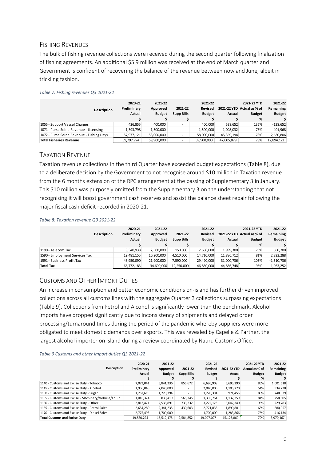# <span id="page-8-0"></span>FISHING REVENUES

The bulk of fishing revenue collections were received during the second quarter following finalization of fishing agreements. An additional \$5.9 million was received at the end of March quarter and Government is confident of recovering the balance of the revenue between now and June, albeit in trickling fashion.

| <b>Description</b>                        | 2020-21<br>Preliminary<br><b>Actual</b> | 2021-22<br>Approved<br><b>Budget</b> | 2021-22<br><b>Supp Bills</b> | 2021-22<br><b>Revised</b><br><b>Budget</b> | 2021-22 YTD<br>Actual | 2021-22 YTD<br>Actual as % of<br><b>Budget</b><br>% | 2021-22<br>Remaining<br><b>Budget</b> |
|-------------------------------------------|-----------------------------------------|--------------------------------------|------------------------------|--------------------------------------------|-----------------------|-----------------------------------------------------|---------------------------------------|
| 1055 - Support Vessel Charges             | 426.855                                 | 400.000                              | ٠                            | 400.000                                    | 538,652               | 135%                                                | $-138,652$                            |
| 1071 - Purse Seine Revenue - Licensing    | 1,393,798                               | 1,500,000                            |                              | 1,500,000                                  | 1,098,032             | 73%                                                 | 401,968                               |
| 1072 - Purse Seine Revenue - Fishing Days | 57,977,121                              | 58,000,000                           |                              | 58.000.000                                 | 45,369,194            | 78%                                                 | 12,630,806                            |
| <b>Total Fisheries Revenue</b>            | 59,797,774                              | 59,900,000                           | $\overline{\phantom{a}}$     | 59.900.000                                 | 47,005,879            | 78%                                                 | 12,894,121                            |

#### *Table 7: Fishing revenues Q3 2021-22*

## <span id="page-8-1"></span>TAXATION REVENUE

Taxation revenue collections in the third Quarter have exceeded budget expectations (Table 8), due to a deliberate decision by the Government to not recognise around \$10 million in Taxation revenue from the 6 months extension of the RPC arrangement at the passing of Supplementary 3 in January. This \$10 million was purposely omitted from the Supplementary 3 on the understanding that not recognising it will boost government cash reserves and assist the balance sheet repair following the major fiscal cash deficit recorded in 2020-21.

#### *Table 8: Taxation revenue Q3 2021-22*

|                                | <b>Description</b> | 2020-21<br>Preliminary<br>Actual | 2021-22<br>Approved<br><b>Budget</b> | 2021-22<br><b>Supp Bills</b> | 2021-22<br><b>Revised</b><br><b>Budget</b> | Actual     | 2021-22 YTD<br>2021-22 YTD Actual as % of<br><b>Budget</b><br>% | 2021-22<br>Remaining<br><b>Budget</b> |
|--------------------------------|--------------------|----------------------------------|--------------------------------------|------------------------------|--------------------------------------------|------------|-----------------------------------------------------------------|---------------------------------------|
| 1190 - Telecom Tax             |                    | 3,340,938                        | 2,500,000                            | 150.000                      | 2,650,000                                  | 1,999,300  | 75%                                                             | 650,700                               |
| 1590 - Employment Services Tax |                    | 19,481,155                       | 10.200.000                           | 4.510.000                    | 14,710,000                                 | 11,886,712 | 81%                                                             | 2,823,288                             |
| 1591 - Business Profit Tax     |                    | 43,950,090                       | 21,900,000                           | 7,590,000                    | 29,490,000                                 | 31,000,736 | 105%                                                            | $-1,510,736$                          |
| <b>Total Tax</b>               |                    | 66,772,183                       | 34,600,000                           | 12,250,000                   | 46,850,000                                 | 44,886,748 | 96%                                                             | 1,963,252                             |

# <span id="page-8-2"></span>CUSTOMS AND OTHER IMPORT DUTIES

An increase in consumption and better economic conditions on-island has further driven improved collections across all customs lines with the aggregate Quarter 3 collections surpassing expectations (Table 9). Collections from Petrol and Alcohol is significantly lower than the benchmark. Alcohol imports have dropped significantly due to inconsistency of shipments and delayed order processing/turnaround times during the period of the pandemic whereby suppliers were more obligated to meet domestic demands over exports. This was revealed by Capelle & Partner, the largest alcohol importer on island during a review coordinated by Nauru Customs Office.

#### *Table 9 Customs and other Import duties Q3 2021-22*

| Description                                         | 2020-21<br>Preliminary<br>Actual | 2021-22<br>Approved<br><b>Budget</b> | 2021-22<br><b>Supp Bills</b> | 2021-22<br>Revised<br><b>Budget</b> | 2021-22 YTD<br>Actual | 2021-22 YTD<br>Actual as % of<br><b>Budget</b><br>% | 2021-22<br>Remaining<br><b>Budget</b> |
|-----------------------------------------------------|----------------------------------|--------------------------------------|------------------------------|-------------------------------------|-----------------------|-----------------------------------------------------|---------------------------------------|
| 1140 - Customs and Excise Duty - Tobacco            | 7,073,041                        | 5,841,236                            | 855,672                      | 6,696,908                           | 5,695,290             | 85%                                                 | 1,001,618                             |
| 1145 - Customs and Excise Duty - Alcohol            | 1.956.048                        | 2,040,000                            |                              | 2,040,000                           | 1,105,770             | 54%                                                 | 934,230                               |
| 1150 - Customs and Excise Duty - Sugar              | 1,262,619                        | 1,220,394                            |                              | 1,220,394                           | 971.455               | 80%                                                 | 248,939                               |
| 1155 - Customs and Excise - Machinery/Vehicle/Equip | 1,045,324                        | 830,419                              | 565,345                      | 1,395,764                           | 1,137,259             | 81%                                                 | 258,505                               |
| 1160 - Customs and Excise Duty - Other              | 2,813,421                        | 2,538,891                            | 733,232                      | 3,272,123                           | 3,042,340             | 93%                                                 | 229,783                               |
| 1165 - Customs and Excise Duty - Petrol Sales       | 2,654,280                        | 2,341,235                            | 430,603                      | 2,771,838                           | 1,890,881             | 68%                                                 | 880,957                               |
| 1170 - Customs and Excise Duty - Diesel Sales       | 2,775,493                        | 1.700.000                            |                              | 1.700.000                           | 1,283,866             | 76%                                                 | 416,134                               |
| <b>Total Customs and Excise Duty</b>                | 19,580,224                       | 16.512.175                           | 2.584.852                    | 19.097.027                          | 15,126,860            | 79%                                                 | 3.970.167                             |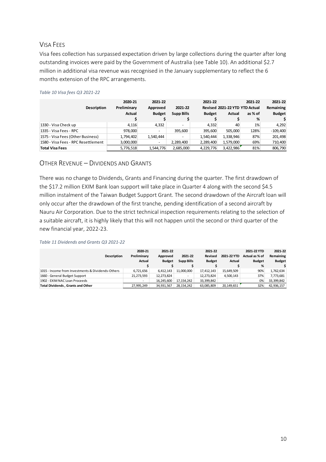# <span id="page-9-0"></span>VISA FEES

Visa fees collection has surpassed expectation driven by large collections during the quarter after long outstanding invoices were paid by the Government of Australia (see Table 10). An additional \$2.7 million in additional visa revenue was recognised in the January supplementary to reflect the 6 months extension of the RPC arrangements.

#### *Table 10 Visa fees Q3 2021-22*

| <b>Description</b>                  | 2020-21<br>Preliminary<br><b>Actual</b> | 2021-22<br>Approved<br><b>Budget</b> | 2021-22<br><b>Supp Bills</b> | 2021-22<br><b>Budget</b> | Revised 2021-22 YTD YTD Actual<br>Actual | 2021-22<br>as % of<br>% | 2021-22<br>Remaining<br><b>Budget</b> |
|-------------------------------------|-----------------------------------------|--------------------------------------|------------------------------|--------------------------|------------------------------------------|-------------------------|---------------------------------------|
| 1330 - Visa Check up                | 4.116                                   | 4,332                                | $\overline{\phantom{0}}$     | 4.332                    | 40                                       | 1%                      | 4,292                                 |
| 1335 - Visa Fees - RPC              | 978,000                                 | ۰                                    | 395,600                      | 395,600                  | 505.000                                  | 128%                    | $-109,400$                            |
| 1575 - Visa Fees (Other Business)   | 1,794,402                               | 1,540,444                            | $\overline{\phantom{0}}$     | 1,540,444                | 1,338,946                                | 87%                     | 201,498                               |
| 1580 - Visa Fees - RPC Resettlement | 3,000,000                               | ٠                                    | 2,289,400                    | 2,289,400                | 1,579,000                                | 69%                     | 710,400                               |
| <b>Total Visa Fees</b>              | 5,776,518                               | 1,544,776                            | 2,685,000                    | 4,229,776                | 3,422,986                                | 81%                     | 806,790                               |

## <span id="page-9-1"></span>OTHER REVENUE – DIVIDENDS AND GRANTS

There was no change to Dividends, Grants and Financing during the quarter. The first drawdown of the \$17.2 million EXIM Bank loan support will take place in Quarter 4 along with the second \$4.5 million instalment of the Taiwan Budget Support Grant. The second drawdown of the Aircraft loan will only occur after the drawdown of the first tranche, pending identification of a second aircraft by Nauru Air Corporation. Due to the strict technical inspection requirements relating to the selection of a suitable aircraft, it is highly likely that this will not happen until the second or third quarter of the new financial year, 2022-23.

#### *Table 11 Dividends and Grants Q3 2021-22*

| <b>Description</b>                                | 2020-21<br>Preliminary<br>Actual | 2021-22<br>Approved<br><b>Budget</b> | 2021-22<br><b>Supp Bills</b> | 2021-22<br><b>Revised</b><br><b>Budget</b> | 2021-22 YTD<br>Actual    | 2021-22 YTD<br>Actual as % of<br><b>Budget</b><br>% | 2021-22<br>Remaining<br><b>Budget</b> |
|---------------------------------------------------|----------------------------------|--------------------------------------|------------------------------|--------------------------------------------|--------------------------|-----------------------------------------------------|---------------------------------------|
| 1015 - Income from Investments & Dividends-Others | 6,721,656                        | 6.412.143                            | 11,000,000                   | 17,412,143                                 | 15,649,509               | 90%                                                 | 1,762,634                             |
| 1660 - General Budget Support                     | 21,273,593                       | 12,273,824                           | -                            | 12,273,824                                 | 4,500,143                | 37%                                                 | 7,773,681                             |
| 1902 - EXIM NAC Loan Proceeds                     | $\overline{\phantom{a}}$         | 16.245.600                           | 17.154.242                   | 33,399,842                                 | $\overline{\phantom{a}}$ | 0%                                                  | 33,399,842                            |
| <b>Total Dividends, Grants and Other</b>          | 27.995.249                       | 34.931.567                           | 28.154.242                   | 63.085.809                                 | 20,149,651               | 32%                                                 | 42,936,157                            |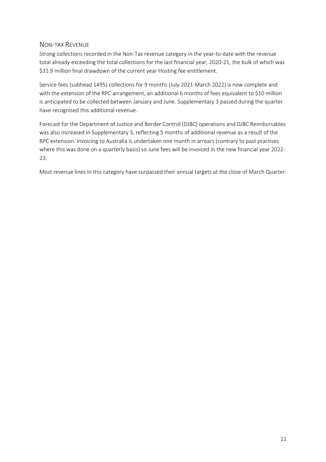# <span id="page-10-0"></span>NON-TAX REVENUE

Strong collections recorded in the Non-Tax revenue category in the year-to-date with the revenue total already exceeding the total collections for the last financial year, 2020-21, the bulk of which was \$31.9 million final drawdown of the current year Hosting fee entitlement.

Service fees (subhead 1495) collections for 9 months (July 2021-March 2022) is now complete and with the extension of the RPC arrangement, an additional 6 months of fees equivalent to \$10 million is anticipated to be collected between January and June. Supplementary 3 passed during the quarter have recognised this additional revenue.

Forecast for the Department of Justice and Border Control (DJBC) operations and DJBC Reimbursables was also increased in Supplementary 3, reflecting 5 months of additional revenue as a result of the RPC extension. Invoicing to Australia is undertaken one month in arrears (contrary to past practises where this was done on a quarterly basis) so June fees will be invoiced in the new financial year 2022- 23.

Most revenue lines in this category have surpassed their annual targets at the close of March Quarter.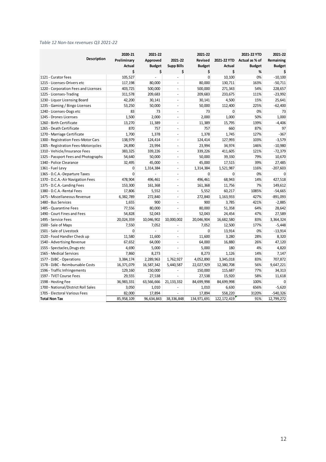#### *Table 12 Non-tax revenues Q3 2021-22*

| <b>Description</b>                   | 2020-21<br>Preliminary<br><b>Actual</b><br>\$ | 2021-22<br>Approved<br><b>Budget</b><br>\$ | 2021-22<br><b>Supp Bills</b><br>\$ | 2021-22<br><b>Revised</b><br><b>Budget</b><br>\$ | <b>Actual</b><br>\$ | 2021-22 YTD<br>2021-22 YTD Actual as % of<br><b>Budget</b><br>% | 2021-22<br>Remaining<br><b>Budget</b><br>Ś |
|--------------------------------------|-----------------------------------------------|--------------------------------------------|------------------------------------|--------------------------------------------------|---------------------|-----------------------------------------------------------------|--------------------------------------------|
| 1121 - Curator fees                  | 105,527                                       |                                            | ÷.                                 | $\mathbf 0$                                      | 10,100              | 0%                                                              | $-10,100$                                  |
| 1215 - Licenses-Drivers etc          | 117,198                                       | 80,000                                     | $\overline{a}$                     | 80,000                                           | 130,711             | 163%                                                            | $-50,711$                                  |
| 1220 - Corporation Fees and Licenses | 403,725                                       | 500,000                                    | $\blacksquare$                     | 500,000                                          | 271,343             | 54%                                                             | 228,657                                    |
| 1225 - Licenses-Trading              | 311,578                                       | 209,683                                    | $\overline{a}$                     | 209,683                                          | 233,675             | 111%                                                            | $-23,992$                                  |
| 1230 - Liquor Licensing Board        | 42,200                                        | 30,141                                     | ÷                                  | 30,141                                           | 4,500               | 15%                                                             | 25,641                                     |
| 1235 - Gaming / Bingo Licenses       | 53,250                                        | 50,000                                     | $\overline{\phantom{a}}$           | 50,000                                           | 112,400             | 225%                                                            | $-62,400$                                  |
| 1240 - Licenses-Dogs etc             | 83                                            | 73                                         | $\overline{a}$                     | 73                                               | $\Omega$            | 0%                                                              | 73                                         |
| 1245 - Drones Licenses               | 1,500                                         | 2,000                                      | ÷                                  | 2,000                                            | 1,000               | 50%                                                             | 1,000                                      |
| 1260 - Birth Certificate             | 13,270                                        | 11,389                                     | ÷                                  | 11,389                                           | 15,795              | 139%                                                            | $-4,406$                                   |
| 1265 - Death Certificate             | 870                                           | 757                                        |                                    | 757                                              | 660                 | 87%                                                             | 97                                         |
| 1270 - Marriage Certificate          | 1,700                                         | 1,378                                      | $\overline{\phantom{a}}$           | 1,378                                            | 1,745               | 127%                                                            | $-367$                                     |
| 1300 - Registration Fees-Motor Cars  | 138,979                                       | 124,414                                    | $\overline{a}$                     | 124,414                                          | 127,993             | 103%                                                            | $-3,579$                                   |
| 1305 - Registration Fees-Motorcycles | 24,890                                        | 23,994                                     | $\overline{a}$                     | 23,994                                           | 34,974              | 146%                                                            | $-10,980$                                  |
| 1310 - Vehicle/Insurance Fees        | 383,325                                       | 339,226                                    | $\overline{a}$                     | 339,226                                          | 411,605             | 121%                                                            | $-72,379$                                  |
| 1325 - Passport Fees and Photographs | 54,640                                        | 50,000                                     | $\overline{a}$                     | 50,000                                           | 39,330              | 79%                                                             | 10,670                                     |
| 1340 - Police Clearance              | 32,495                                        | 45,000                                     | $\blacksquare$                     | 45,000                                           | 17,515              | 39%                                                             | 27,485                                     |
| 1361 - Fuel Levy                     | 0                                             | 1,314,384                                  | ÷,                                 | 1,314,384                                        | 1,521,987           | 116%                                                            | $-207,603$                                 |
| 1365 - D.C.A.-Departure Taxes        | $\Omega$                                      | $\overline{a}$                             | ÷,                                 | $\Omega$                                         | 0                   | 0%                                                              | $\Omega$                                   |
| 1370 - D.C.A.-Air Navigation Fees    | 478,904                                       | 496,461                                    | $\overline{\phantom{a}}$           | 496,461                                          | 68,943              | 14%                                                             | 427,518                                    |
| 1375 - D.C.A.-Landing Fees           | 153,300                                       | 161,368                                    | $\overline{a}$                     | 161,368                                          | 11,756              | 7%                                                              | 149,612                                    |
| 1380 - D.C.A.-Rental Fees            | 17,806                                        | 5,552                                      | $\overline{a}$                     | 5,552                                            | 60,217              | 1085%                                                           | $-54,665$                                  |
| 1475 - Miscellaneous Revenue         | 6,382,789                                     | 272,840                                    | $\overline{\phantom{a}}$           | 272,840                                          | 1,163,933           | 427%                                                            | $-891,093$                                 |
| 1480 - Bus Services                  | 1,655                                         | 900                                        | ÷.                                 | 900                                              | 3,785               | 421%                                                            | $-2,885$                                   |
| 1485 - Quarantine Fees               | 77,556                                        | 80,000                                     | ä,                                 | 80,000                                           | 51,358              | 64%                                                             | 28,642                                     |
| 1490 - Court Fines and Fees          | 54,828                                        | 52,043                                     | ä,                                 | 52,043                                           | 24,454              | 47%                                                             | 27,589                                     |
| 1495 - Service Fees                  | 20,024,359                                    | 10,046,902                                 | 10,000,002                         | 20,046,904                                       | 16,682,580          | 83%                                                             | 3,364,324                                  |
| 1500 - Sale of Maps                  | 7,550                                         | 7,052                                      |                                    | 7,052                                            | 12,500              | 177%                                                            | $-5,448$                                   |
| 1501 - Sale of Livestock             | 0                                             | $\overline{a}$                             | $\overline{a}$                     | 0                                                | 13,914              | 0%                                                              | $-13,914$                                  |
| 1520 - Food Handler Check up         | 11,580                                        | 11,600                                     | $\overline{a}$                     | 11,600                                           | 3,280               | 28%                                                             | 8,320                                      |
| 1540 - Advertising Revenue           | 67,652                                        | 64,000                                     | $\overline{\phantom{a}}$           | 64,000                                           | 16,880              | 26%                                                             | 47,120                                     |
| 1555 - Spectacles, Drugs etc         | 4,690                                         | 5,000                                      | $\blacksquare$                     | 5,000                                            | 180                 | 4%                                                              | 4,820                                      |
| 1565 - Medical Services              | 7,860                                         | 8,273                                      |                                    | 8,273                                            | 1,126               | 14%                                                             | 7,147                                      |
| 1577 - DJBC - Operations             | 3,384,174                                     | 2,289,963                                  | 1,762,927                          | 4,052,890                                        | 3,345,018           | 83%                                                             | 707,872                                    |
| 1578 - DJBC - Reimbursable Costs     | 16,371,079                                    | 16,587,342                                 | 5,440,587                          | 22,027,929                                       | 12,380,708          | 56%                                                             | 9,647,221                                  |
| 1596 - Traffic Infringements         | 129,160                                       | 150,000                                    |                                    | 150,000                                          | 115,687             | 77%                                                             | 34,313                                     |
| 1597 - TVET Course Fees              | 29,555                                        | 27,538                                     |                                    | 27,538                                           | 15,920              | 58%                                                             | 11,618                                     |
| 1598 - Hosting Fee                   | 36,983,331                                    | 63,566,666                                 | 21, 133, 332                       | 84,699,998                                       | 84,699,998          | 100%                                                            | 0                                          |
| 1700 - National/District Roll Sales  | 3,050                                         | 1,010                                      |                                    | 1,010                                            | 6,630               | 656%                                                            | $-5,620$                                   |
| 1705 - Electoral Various Fees        | 82,000                                        | 17,894                                     |                                    | 17,894                                           | 558,220             | 3120%                                                           | $-540,326$                                 |
| <b>Total Non Tax</b>                 | 85,958,109                                    | 96,634,843                                 | 38,336,848                         | 134,971,691                                      | 122, 172, 419       | 91%                                                             | 12,799,272                                 |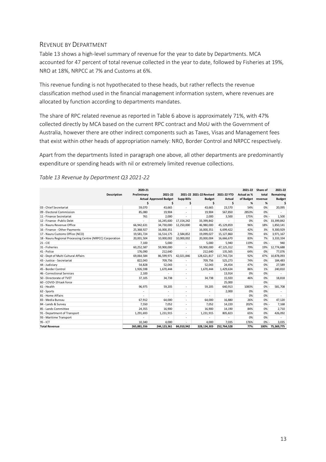## <span id="page-12-0"></span>REVENUE BY DEPARTMENT

Table 13 shows a high-level summary of revenue for the year to date by Departments. MCA accounted for 47 percent of total revenue collected in the year to date, followed by Fisheries at 19%, NRO at 18%, NRPCC at 7% and Customs at 6%.

This revenue funding is not hypothecated to these heads, but rather reflects the revenue classification method used in the financial management information system, where revenues are allocated by function according to departments mandates.

The share of RPC related revenue as reported in Table 6 above is approximately 71%, with 47% collected directly by MCA based on the current RPC contract and MoU with the Government of Australia, however there are other indirect components such as Taxes, Visas and Management fees that exist within other heads of appropriation namely: NRO, Border Control and NRPCC respectively.

Apart from the departments listed in paragraph one above, all other departments are predominantly expenditure or spending heads with nil or extremely limited revenue collections.

|                                                           | 2020-21     |                               |                          |                         |             | 2021-22     | Share of | 2021-22       |
|-----------------------------------------------------------|-------------|-------------------------------|--------------------------|-------------------------|-------------|-------------|----------|---------------|
| <b>Description</b>                                        | Preliminary | 2021-22                       |                          | 2021-22 2021-22 Revised | 2021-22 YTD | Actual as % | total    | Remaining     |
|                                                           |             | <b>Actual Approved Budget</b> | <b>Supp Bills</b>        | <b>Budget</b>           | Actual      | of Budget   | revenue  | <b>Budget</b> |
|                                                           | Ś           | \$                            | Ś                        | Ś                       | Ś           | %           | %        | S             |
| 03 - Chief Secretariat                                    | 59,070      | 43,665                        | $\overline{\phantom{a}}$ | 43,665                  | 23,570      | 54%         | 0%       | 20,095        |
| 09 - Electoral Commission                                 | 85,080      | 19,904                        |                          | 19,904                  | 567,850     | 2853%       | 0%       |               |
| 11 - Finance Secretariat                                  | 761         | 2,000                         | ä,                       | 2,000                   | 3,500       | 175%        | $0% -$   | 1,500         |
| 12 - Finance - Public Debt                                |             | 16,245,600                    | 17, 154, 242             | 33,399,842              |             | 0%          | 0%       | 33,399,842    |
| 15 - Nauru Revenue Office                                 | 66.942.631  | 34,730,000                    | 12,250,000               | 46,980,000              | 45,129,859  | 96%         | 18%      | 1,850,141     |
| 16 - Finance - Other Payments                             | 25,368,927  | 16,000,351                    |                          | 16,000,351              | 6,699,422   | 42%         | 3%       | 9,300,929     |
| 17 - Nauru Customs Office (NCO)                           | 19,581,724  | 16,514,175                    | 2,584,852                | 19,099,027              | 15,127,860  | 79%         | 6%       | 3,971,167     |
| 18 - Nauru Regional Processing Centre (NRPCC) Corporation | 20,001,504  | 10,000,002                    | 10,000,002               | 20,000,004              | 16,666,670  | 83%         | 7%       | 3,333,334     |
| $21 - CIE$                                                | 7,100       | 5,000                         |                          | 5,000                   | 5,940       | 119%        | $0% -$   | 940           |
| 31 - Fisheries                                            | 60,252,587  | 59,900,000                    | ٠                        | 59,900,000              | 47,125,312  | 79%         | 19%      | 12,774,688    |
| 41 - Police                                               | 176,090     | 212,640                       |                          | 212,640                 | 135,565     | 64%         | 0%       | 77,076        |
| 42 - Dept of Multi Cultural Affairs                       | 69,064,584  | 86,599,971                    | 42,021,846               | 128,621,817             | 117,743,724 | 92%         | 47%      | 10,878,093    |
| 43 - Justice - Secretariat                                | 822,043     | 709,756                       | $\sim$                   | 709,756                 | 525,273     | 74%         | 0%       | 184,483       |
| 44 - Judiciary                                            | 54,828      | 52,043                        | ٠                        | 52,043                  | 24,454      | 47%         | 0%       | 27,589        |
| 45 - Border Control                                       | 1,926,598   | 1,670,444                     | ٠                        | 1,670,444               | 1,429,634   | 86%         | 1%       | 240,810       |
| 46 - Correctional Services                                | 2,100       |                               | ٠                        |                         | 13,914      | 0%          | 0%       |               |
| 50 - Directorate of TVET                                  | 37,105      | 34,738                        | ٠                        | 34,738                  | 15,920      | 46%         | 0%       | 18,818        |
| 60 - COVID-19 task force                                  |             |                               |                          |                         | 25,000      |             | 0%       |               |
| 61 - Health                                               | 96,975      | 59,205                        | ٠                        | 59,205                  | 640,913     | 1083%       | 0%       | 581,708       |
| 62 - Sports                                               |             |                               | ٠                        |                         | 2,000       | 0%          | 0%       |               |
| 81 - Home Affairs                                         |             |                               | ٠                        |                         |             | 0%          | 0%       |               |
| 83 - Media Bureau                                         | 67,912      | 64,000                        | ٠                        | 64,000                  | 16,880      | 26%         | 0%       | 47,120        |
| 84 - Lands & Survey                                       | 7.550       | 7,052                         | ٠                        | 7,052                   | 14,220      | 202%        | $0\%$    | 7,168         |
| 85 - Lands Committee                                      | 24,355      | 16,900                        | $\overline{\phantom{a}}$ | 16.900                  | 14,190      | 84%         | 0%       | 2,710         |
| 91 - Department of Transport                              | 1,291,693   | 1,231,915                     | ٠                        | 1,231,915               | 805,823     | 65%         | 0%       | 426,092       |
| 93 - Maritime Transport                                   |             |                               | ٠                        |                         |             | 0%          | 0%       |               |
| $95 - ICT$                                                | 10.340      | 4.000                         | ä,                       | 4.000                   | 7.035       | 176%        | $0\%$    | 3.035         |
| <b>Total Revenue</b>                                      | 265.881.556 | 244.123.361                   | 84,010,942               | 328, 134, 303           | 252,764,528 | 77%         | 100%     | 75,369,775    |

*Table 13 Revenue by Department Q3 2021-22*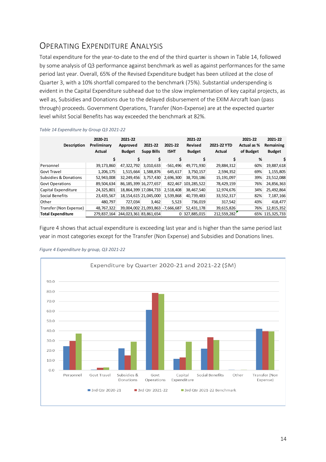# <span id="page-13-0"></span>OPERATING EXPENDITURE ANALYSIS

Total expenditure for the year-to-date to the end of the third quarter is shown in Table 14, followed by some analysis of Q3 performance against benchmark as well as against performances for the same period last year. Overall, 65% of the Revised Expenditure budget has been utilized at the close of Quarter 3, with a 10% shortfall compared to the benchmark (75%). Substantial underspending is evident in the Capital Expenditure subhead due to the slow implementation of key capital projects, as well as, Subsidies and Donations due to the delayed disbursement of the EXIM Aircraft loan (pass through) proceeds. Government Operations, Transfer (Non-Expense) are at the expected quarter level whilst Social Benefits has way exceeded the benchmark at 82%.

| <b>Description</b>               | 2020-21<br>Preliminary<br><b>Actual</b> | 2021-22<br>Approved<br><b>Budget</b> | 2021-22<br><b>Supp Bills</b> | 2021-22<br><b>ISHT</b> | 2021-22<br><b>Revised</b><br><b>Budget</b> | 2021-22 YTD<br>Actual | 2021-22<br>Actual as %<br>of Budget | 2021-22<br>Remaining<br><b>Budget</b> |
|----------------------------------|-----------------------------------------|--------------------------------------|------------------------------|------------------------|--------------------------------------------|-----------------------|-------------------------------------|---------------------------------------|
|                                  | \$                                      | Ś                                    | \$                           | \$                     |                                            | \$                    | %                                   |                                       |
| Personnel                        | 39,173,860                              | 47,322,792                           | 3,010,633                    | $-561,496$             | 49,771,930                                 | 29,884,312            | 60%                                 | 19,887,618                            |
| <b>Govt Travel</b>               | 1,206,175                               | 1,515,664                            | 1,588,876                    | 645,617                | 3,750,157                                  | 2,594,352             | 69%                                 | 1,155,805                             |
| <b>Subsidies &amp; Donations</b> | 52,943,008                              | 32,249,456                           | 3,757,430                    | 2,696,300              | 38,703,186                                 | 15,191,097            | 39%                                 | 23,512,088                            |
| <b>Govt Operations</b>           | 89,504,634                              |                                      | 86, 185, 399 16, 277, 657    | 822.467                | 103,285,522                                | 78,429,159            | 76%                                 | 24,856,363                            |
| Capital Expenditure              | 24,325,801                              |                                      | 18,864,399 17,084,733        | 2,518,408              | 38,467,540                                 | 12,974,676            | 34%                                 | 25,492,864                            |
| Social Benefits                  | 23,435,567                              |                                      | 18,154,615 21,045,000        | 1,539,868              | 40,739,483                                 | 33,552,317            | 82%                                 | 7,187,166                             |
| Other                            | 480.797                                 | 727.034                              | 3,462                        | 5,523                  | 736,019                                    | 317,542               | 43%                                 | 418,477                               |
| Transfer (Non Expense)           | 48,767,322                              |                                      | 39,004,002 21,093,863        | $-7.666.687$           | 52,431,178                                 | 39,615,826            | 76%                                 | 12,815,352                            |
| <b>Total Expenditure</b>         | 279.837.164                             | 244,023,361 83,861,654               |                              | 0                      | 327,885,015                                | 212,559,282           | 65%                                 | 115,325,733                           |

*Table 14 Expenditure by Group Q3 2021-22*

Figure 4 shows that actual expenditure is exceeding last year and is higher than the same period last year in most categories except for the Transfer (Non Expense) and Subsidies and Donations lines.



*Figure 4 Expenditure by group, Q3 2021-22*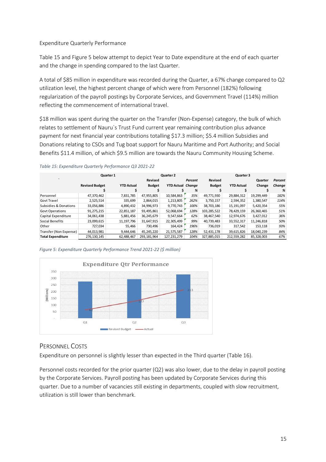### Expenditure Quarterly Performance

Table 15 and Figure 5 below attempt to depict Year to Date expenditure at the end of each quarter and the change in spending compared to the last Quarter.

A total of \$85 million in expenditure was recorded during the Quarter, a 67% change compared to Q2 utilization level, the highest percent change of which were from Personnel (182%) following regularization of the payroll postings by Corporate Services, and Government Travel (114%) million reflecting the commencement of international travel.

\$18 million was spent during the quarter on the Transfer (Non-Expense) category, the bulk of which relates to settlement of Nauru`s Trust Fund current year remaining contribution plus advance payment for next financial year contributions totalling \$17.3 million; \$5.4 million Subsidies and Donations relating to CSOs and Tug boat support for Nauru Maritime and Port Authority; and Social Benefits \$11.4 million, of which \$9.5 million are towards the Nauru Community Housing Scheme.

|                          |                       | <b>Quarter 1</b>  |                | Quarter 2                |         |               | Quarter 3         |            |         |
|--------------------------|-----------------------|-------------------|----------------|--------------------------|---------|---------------|-------------------|------------|---------|
| $\cdot$                  |                       |                   | <b>Revised</b> |                          | Percent | Revised       |                   | Quarter    | Percent |
|                          | <b>Revised Budget</b> | <b>YTD Actual</b> | <b>Budget</b>  | <b>YTD Actual Change</b> |         | <b>Budget</b> | <b>YTD Actual</b> | Change     | Change  |
|                          |                       |                   |                |                          | %       |               |                   |            | %       |
| Personnel                | 47,370,462            | 7.831.785         | 47,955,805     | 10,584,863               | 35%     | 49,771,930    | 29,884,312        | 19,299,449 | 182%    |
| <b>Govt Travel</b>       | 2,525,514             | 335.699           | 2,864,015      | 1,213,805                | 262%    | 3,750,157     | 2,594,352         | 1,380,547  | 114%    |
| Subsidies & Donations    | 33,056,886            | 4.890.432         | 34,996,973     | 9.770.743                | 100%    | 38.703.186    | 15,191,097        | 5,420,354  | 55%     |
| <b>Govt Operations</b>   | 91,275,215            | 22,851,187        | 93,495,861     | 52,068,694               | 128%    | 103,285,522   | 78,429,159        | 26,360,465 | 51%     |
| Capital Expenditure      | 34,061,438            | 5,881,456         | 36,245,679     | 9,547,664                | 62%     | 38,467,540    | 12,974,676        | 3,427,012  | 36%     |
| Social Benefits          | 23,099,615            | 11, 197, 796      | 31,647,915     | 22,305,499               | 99%     | 40,739,483    | 33,552,317        | 11,246,818 | 50%     |
| Other                    | 727,034               | 55,466            | 730.496        | 164,424                  | 196%    | 736,019       | 317,542           | 153,118    | 93%     |
| Transfer (Non Expense)   | 44,013,981            | 9,444,646         | 45,245,220     | 21,575,587               | 128%    | 52,431,178    | 39,615,826        | 18,040,239 | 84%     |
| <b>Total Expenditure</b> | 276.130.145           | 62,488,467        | 293.181.964    | 127.231.279              | 104%    | 327.885.015   | 212,559,282       | 85,328,003 | 67%     |

*Table 15: Expenditure Quarterly Performance Q3 2021-22*



# <span id="page-14-0"></span>PERSONNEL COSTS

Expenditure on personnel is slightly lesser than expected in the Third quarter (Table 16).

Personnel costs recorded for the prior quarter  $(Q2)$  was also lower, due to the delay in payroll posting by the Corporate Services. Payroll posting has been updated by Corporate Services during this quarter. Due to a number of vacancies still existing in departments, coupled with slow recruitment, utilization is still lower than benchmark.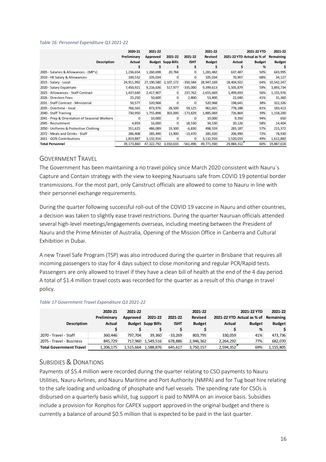#### *Table 16: Personnel Expenditure Q3 2021-22*

|                                               | 2020-21<br>Preliminary | 2021-22<br>Approved | 2021-22                  | 2021-22      | 2021-22<br><b>Revised</b> |            | 2021-22 YTD<br>2021-22 YTD Actual as % of | 2021-22<br>Remaining |
|-----------------------------------------------|------------------------|---------------------|--------------------------|--------------|---------------------------|------------|-------------------------------------------|----------------------|
| <b>Description</b>                            | Actual                 |                     | <b>Budget Supp Bills</b> | <b>ISHT</b>  | <b>Budget</b>             | Actual     | <b>Budget</b>                             | <b>Budget</b>        |
|                                               |                        |                     |                          |              |                           |            | %                                         |                      |
| 2005 - Salaries & Allowances - (MP's)         | 1,236,654              | 1,260,698           | 20,784                   | 0            | 1,281,482                 | 637,487    | 50%                                       | 643,995              |
| 2010 - HE Salary & Allowances                 | 100,532                | 105,034             |                          | 0            | 105,034                   | 70,907     | 68%                                       | 34,127               |
| 2015 - Salary - Local                         | 24,911,992             | 27,190,580          | 2,107,172                | $-350,584$   | 28,947,169                | 18,404,922 | 64%                                       | 10,542,247           |
| 2020 - Salary Expatriate                      | 7,450,921              | 9,216,636           | 517,977                  | $-335,000$   | 9,399,613                 | 5,505,879  | 59%                                       | 3,893,734            |
| 2025 - Allowances - Staff Contract            | 1,437,640              | 2,417,907           | <sup>0</sup>             | 237,762      | 2,655,669                 | 1,499,693  | 56%                                       | 1,155,976            |
| 2026 - Directors Fees                         | 25,250                 | 50,600              |                          | 2,800        | 53,400                    | 22,040     | 41%                                       | 31,360               |
| 2031 - Staff Contract - Ministerial           | 50,577                 | 520,968             |                          |              | 520,968                   | 198,641    | 38%                                       | 322,326              |
| 2035 - Overtime - local                       | 766,565                | 873,976             | 28,500                   | 59,125       | 961,601                   | 778,188    | 81%                                       | 183,413              |
| 2040 - Staff Training                         | 730,950                | 1,755,898           | 303,000                  | $-173,829$   | 1,885,069                 | 726,869    | 39%                                       | 1,158,200            |
| 2041 - Prep & Orientation of Seasonal Workers | O.                     | 10,000              |                          | <sup>0</sup> | 10,000                    | 9,350      | 94%                                       | 650                  |
| 2045 - Recruitment                            | 4,859                  | 16,000              | $\Omega$                 | 18,530       | 34,530                    | 20,126     | 58%                                       | 14,404               |
| 2050 - Uniforms & Protective Clothing         | 351,625                | 486,089             | 19,300                   | $-6,830$     | 498,559                   | 283,187    | 57%                                       | 215,372              |
| 2072 - Meals and Drinks - Staff               | 286,408                | 285,490             | 13,900                   | $-13,470$    | 285,920                   | 206,990    | 72%                                       | 78,930               |
| 2651 - GON Contributions                      | 1,819,887              | 3,132,916           | n                        | $\Omega$     | 3,132,916                 | 1,520,033  | 49%                                       | 1,612,883            |
| <b>Total Personnel</b>                        | 39,173,860             | 47,322,792          | 3,010,633                | $-561,496$   | 49,771,930                | 29,884,312 | 60%                                       | 19,887,618           |

## <span id="page-15-0"></span>GOVERNMENT TRAVEL

The Government has been maintaining a no travel policy since March 2020 consistent with Nauru`s Capture and Contain strategy with the view to keeping Nauruans safe from COVID 19 potential border transmissions. For the most part, only Canstruct officials are allowed to come to Nauru in line with their personnel exchange requirements.

During the quarter following successful roll-out of the COVID 19 vaccine in Nauru and other countries, a decision was taken to slightly ease travel restrictions. During the quarter Nauruan officials attended several high-level meetings/engagements overseas, including meeting between the President of Nauru and the Prime Minister of Australia, Opening of the Mission Office in Canberra and Cultural Exhibition in Dubai.

A new Travel Safe Program (TSP) was also introduced during the quarter in Brisbane that requires all incoming passengers to stay for 4 days subject to close monitoring and regular PCR/Rapid tests. Passengers are only allowed to travel if they have a clean bill of health at the end of the 4 day period. A total of \$1.4 million travel costs was recorded for the quarter as a result of this change in travel policy.

| <b>Description</b>             | 2020-21<br>Preliminary<br>Actual | 2021-22<br>Approved | 2021-22<br><b>Budget Supp Bills</b> | 2021-22<br><b>ISHT</b> | 2021-22<br>Revised<br><b>Budget</b> | Actual    | 2021-22 YTD<br>2021-22 YTD Actual as % of<br><b>Budget</b><br>% | 2021-22<br>Remaining<br><b>Budget</b> |
|--------------------------------|----------------------------------|---------------------|-------------------------------------|------------------------|-------------------------------------|-----------|-----------------------------------------------------------------|---------------------------------------|
| 2070 - Travel - Staff          | 360.446                          | 797.704             | 39.360                              | $-33.269$              | 803,795                             | 330.059   | 41%                                                             | 473,736                               |
| 2075 - Travel - Business       | 845,729                          | 717,960             | 1,549,516                           | 678,886                | 2,946,362                           | 2,264,292 | 77%                                                             | 682,070                               |
| <b>Total Government Travel</b> | 1,206,175                        | 1.515.664           | 1,588,876                           | 645.617                | 3,750,157                           | 2,594,352 | 69%                                                             | 1,155,805                             |

#### *Table 17 Government Travel Expenditure Q3 2021-22*

# <span id="page-15-1"></span>SUBSIDIES & DONATIONS

Payments of \$5.4 million were recorded during the quarter relating to CSO payments to Nauru Utilities, Nauru Airlines, and Nauru Maritime and Port Authority (NMPA) and for Tug boat hire relating to the safe loading and unloading of phosphate and fuel vessels. The spending rate for CSOs is disbursed on a quarterly basis whilst, tug support is paid to NMPA on an invoice basis. Subsidies include a provision for Ronphos for CAPEX support approved in the original budget and there is currently a balance of around \$0.5 million that is expected to be paid in the last quarter.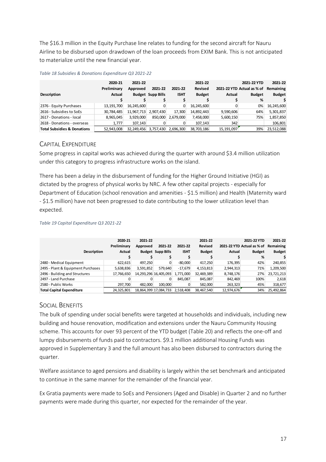The \$16.3 million in the Equity Purchase line relates to funding for the second aircraft for Nauru Airline to be disbursed upon drawdown of the loan proceeds from EXIM Bank. This is not anticipated to materialize until the new financial year.

| <b>Description</b>                     | 2020-21<br>Preliminary<br><b>Actual</b> | 2021-22<br>Approved | 2021-22<br><b>Budget Supp Bills</b> | 2021-22<br><b>ISHT</b> | 2021-22<br>Revised<br><b>Budget</b> | <b>Actual</b> | 2021-22 YTD<br>2021-22 YTD Actual as % of<br><b>Budget</b><br>% | 2021-22<br>Remaining<br><b>Budget</b> |
|----------------------------------------|-----------------------------------------|---------------------|-------------------------------------|------------------------|-------------------------------------|---------------|-----------------------------------------------------------------|---------------------------------------|
| 2376 - Equity Purchases                | 13,191,700                              | 16,245,600          |                                     |                        | 16,245,600                          | 0             | 0%                                                              | 16,245,600                            |
| 2616 - Subsidies to SoEs               | 30,784,485                              | 11,967,713          | 2,907,430                           | 17,300                 | 14,892,443                          | 9,590,606     | 64%                                                             | 5,301,837                             |
| 2617 - Donations - local               | 8,965,045                               | 3,929,000           | 850.000                             | 2.679.000              | 7,458,000                           | 5,600,150     | 75%                                                             | 1,857,850                             |
| 2618 - Donations - overseas            | 1,777                                   | 107.143             |                                     |                        | 107,143                             | 342           |                                                                 | 106,801                               |
| <b>Total Subsidies &amp; Donations</b> | 52,943,008                              | 32,249,456          | 3,757,430                           | 2,696,300              | 38,703,186                          | 15, 191, 097  | 39%                                                             | 23,512,088                            |

#### *Table 18 Subsidies & Donations Expenditure Q3 2021-22*

## <span id="page-16-0"></span>CAPITAL EXPENDITURE

Some progress in capital works was achieved during the quarter with around \$3.4 million utilization under this category to progress infrastructure works on the island.

There has been a delay in the disbursement of funding for the Higher Ground Initiative (HGI) as dictated by the progress of physical works by NRC. A few other capital projects - especially for Department of Education (school renovation and amenities - \$1.5 million) and Health (Maternity ward - \$1.5 million) have not been progressed to date contributing to the lower utilization level than expected.

#### *Table 19 Capital Expenditure Q3 2021-22*

| Description                        | 2020-21<br>Preliminary<br>Actual | 2021-22<br>Approved | 2021-22<br><b>Budget Supp Bills</b> | 2021-22<br><b>ISHT</b> | 2021-22<br><b>Revised</b><br><b>Budget</b> | Actual     | 2021-22 YTD<br>2021-22 YTD Actual as % of<br><b>Budget</b><br>% | 2021-22<br>Remaining<br><b>Budget</b> |
|------------------------------------|----------------------------------|---------------------|-------------------------------------|------------------------|--------------------------------------------|------------|-----------------------------------------------------------------|---------------------------------------|
| 2480 - Medical Equipment           | 622,615                          | 497.250             |                                     | $-80.000$              | 417.250                                    | 176,395    | 42%                                                             | 240,855                               |
| 2495 - Plant & Equipment Purchases | 5,638,836                        | 3,591,852           | 579.640                             | $-17.679$              | 4,153,813                                  | 2,944,313  | 71%                                                             | 1,209,500                             |
| 2496 - Building and Structures     | 17,766,650                       |                     | 14, 293, 296 16, 405, 093           | 1,771,000              | 32,469,389                                 | 8,748,176  | 27%                                                             | 23,721,213                            |
| 2497 - Land Purchase               |                                  |                     | 0                                   | 845.087                | 845,087                                    | 842,469    | 100%                                                            | 2,618                                 |
| 2580 - Public Works                | 297.700                          | 482.000             | 100.000                             |                        | 582.000                                    | 263,323    | 45%                                                             | 318,677                               |
| <b>Total Capital Expenditure</b>   | 24.325.801                       |                     | 18,864,399 17,084,733               | 2.518.408              | 38.467.540                                 | 12,974,676 | 34%                                                             | 25.492.864                            |

# <span id="page-16-1"></span>SOCIAL BENEFITS

The bulk of spending under social benefits were targeted at households and individuals, including new building and house renovation, modification and extensions under the Nauru Community Housing scheme. This accounts for over 93 percent of the YTD budget (Table 20) and reflects the one-off and lumpy disbursements of funds paid to contractors. \$9.1 million additional Housing Funds was approved in Supplementary 3 and the full amount has also been disbursed to contractors during the quarter.

Welfare assistance to aged pensions and disability is largely within the set benchmark and anticipated to continue in the same manner for the remainder of the financial year.

Ex Gratia payments were made to SoEs and Pensioners (Aged and Disable) in Quarter 2 and no further payments were made during this quarter, nor expected for the remainder of the year.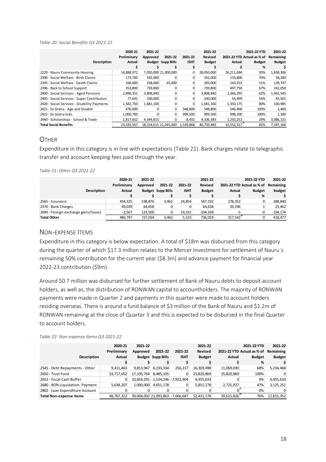#### *Table 20: Social Benefits Q3 2021-22*

|                                              | 2020-21<br>Preliminary | 2021-22<br>Approved | 2021-22                  | 2021-22     | 2021-22<br>Revised |            | 2021-22 YTD<br>2021-22 YTD Actual as % of | 2021-22<br>Remaining |
|----------------------------------------------|------------------------|---------------------|--------------------------|-------------|--------------------|------------|-------------------------------------------|----------------------|
| <b>Description</b>                           | Actual                 |                     | <b>Budget Supp Bills</b> | <b>ISHT</b> | <b>Budget</b>      | Actual     | <b>Budget</b>                             | <b>Budget</b>        |
|                                              |                        |                     |                          |             |                    |            | %                                         |                      |
| 2220 - Nauru Community Housing               | 14,888,972             |                     | 7,050,000 21,000,000     | 0           | 28,050,000         | 26,211,694 | 93%                                       | 1,838,306            |
| 2390 - Social Welfare - Birth Claims         | 173,700                | 192,000             |                          | $\Omega$    | 192,000            | 133,800    | 70%                                       | 58,200               |
| 2395 - Social Welfare - Death Claims         | 168,000                | 238,000             | 45,000                   | 0           | 283,000            | 143,253    | 51%                                       | 139,747              |
| 2396 - Back to School Support                | 353,800                | 739,800             |                          | $\Omega$    | 739,800            | 497,750    | 67%                                       | 242,050              |
| 2400 - Social Services - Aged Pensions       | 2,896,351              | 3,808,840           | 0                        | 0           | 3,808,840          | 2,366,295  | 62%                                       | 1,442,545            |
| 2405 - Social Services - Super Contributors  | 77,641                 | 100,000             | 0                        | $\Omega$    | 100,000            | 54,499     | 54%                                       | 45,501               |
| 2420 - Social Services - Disability Payments | 1,582,750              | 1,681,160           |                          | 0           | 1,681,160          | 1,350,175  | 80%                                       | 330,985              |
| 2421 - Ex Gratia - Age and Disable           | 476,000                |                     | $\mathbf{0}$             | 548,800     | 548,800            | 546,400    | 100%                                      | 2,400                |
| 2422 - Ex Gratia SoEs                        | 1,000,700              |                     | $\Omega$                 | 999,500     | 999,500            | 998,200    | 100%                                      | 1,300                |
| 2440 - Scholarships - School & Trade         | 1,817,652              | 4,344,815           |                          | $-8,432$    | 4,336,383          | 1,250,252  | 29%                                       | 3,086,131            |
| <b>Total Social Benefits</b>                 | 23,435,567             |                     | 18,154,615 21,045,000    | 1,539,868   | 40,739,483         | 33,552,317 | 82%                                       | 7,187,166            |

### <span id="page-17-0"></span>**OTHER**

Expenditure in this category is in line with expectations (Table 21). Bank charges relate to telegraphic transfer and account keeping fees paid through the year.

#### *Table 21: Other Q3 2021-22*

|                                      | 2020-21     | 2021-22  |                          |             | 2021-22        |         | 2021-22 YTD                | 2021-22   |
|--------------------------------------|-------------|----------|--------------------------|-------------|----------------|---------|----------------------------|-----------|
|                                      | Preliminary | Approved | 2021-22                  | 2021-22     | <b>Revised</b> |         | 2021-22 YTD Actual as % of | Remaining |
| Description                          | Actual      |          | <b>Budget Supp Bills</b> | <b>ISHT</b> | <b>Budget</b>  | Actual  | <b>Budget</b>              | budget    |
|                                      |             |          |                          |             |                |         | %                          |           |
| 2565 - Insurance                     | 434.325     | 538.876  | 3.462                    | 24.854      | 567.192        | 278.352 | $\mathbf{0}$               | 288.840   |
| 2570 - Bank Charges                  | 49.039      | 64,658   |                          |             | 64.658         | 39,196  |                            | 25,462    |
| 2690 - Foreign exchange gains/losses | $-2.567$    | 123.500  |                          | $-19.331$   | 104.169        | -5      | -0                         | 104,174   |
| <b>Total Other</b>                   | 480.797     | 727,034  | 3,462                    | 5,523       | 736.019        | 317,542 |                            | 418,477   |

## <span id="page-17-1"></span>NON-EXPENSE ITEMS

Expenditure in this category is below expectation. A total of \$18m was disbursed from this category during the quarter of which \$17.3 million relates to the Mercer Investment for settlement of Nauru`s remaining 50% contribution for the current year (\$8.3m) and advance payment for financial year 2022-23 contribution (\$9m).

Around \$0.7 million was disbursed for further settlement of Bank of Nauru debts to deposit account holders, as well as, the distribution of RONWAN capital to accountholders. The majority of RONWAN payments were made in Quarter 2 and payments in this quarter were made to account holders residing overseas. There is around a fund balance of \$3 million of the Bank of Nauru and \$1.2m of RONWAN remaining at the close of Quarter 3 and this is expected to be disbursed in the final Quarter to account holders.

| Description                     | 2020-21<br>Preliminary<br>Actual | 2021-22<br>Approved | 2021-22<br><b>Budget Supp Bills</b> | 2021-22<br><b>ISHT</b>           | 2021-22<br><b>Revised</b><br><b>Budget</b> | Actual     | 2021-22 YTD<br>2021-22 YTD Actual as % of<br><b>Budget</b> | 2021-22<br>Remaining<br><b>Budget</b> |
|---------------------------------|----------------------------------|---------------------|-------------------------------------|----------------------------------|--------------------------------------------|------------|------------------------------------------------------------|---------------------------------------|
|                                 |                                  |                     |                                     |                                  |                                            |            | %                                                          |                                       |
| 2545 - Debt Repayments - Other  | 9,411,463                        | 9,813,947           | 6,233,334                           | 256,217                          | 16,303,498                                 | 11,069,030 | 68%                                                        | 5,234,468                             |
| 2650 - Trust Fund               | 33,717,652                       | 17,335,764          | 8,485,105                           | 0                                | 25,820,869                                 | 25,820,869 | 100%                                                       |                                       |
| 2652 - Fiscal Cash Buffer       |                                  | 10.854.291          |                                     | 1,524,246 - 7,922,904            | 4,455,633                                  |            | 0%                                                         | 4,455,633                             |
| 2680 - BON Liquidation- Payment | 5,638,207                        | 1,000,000           | 4,851,178                           | 0                                | 5,851,178                                  | 2,725,927  | 47%                                                        | 3,125,251                             |
| 2802 - Loan Expenditure Account |                                  |                     |                                     |                                  |                                            |            | 0%                                                         |                                       |
| <b>Total Non-expense items</b>  | 48.767.322                       |                     |                                     | 39,004,002 21,093,863 -7,666,687 | 52.431.178                                 | 39,615,826 | 76%                                                        | 12,815,352                            |

#### *Table 22: Non-expense Items Q3 2021-22*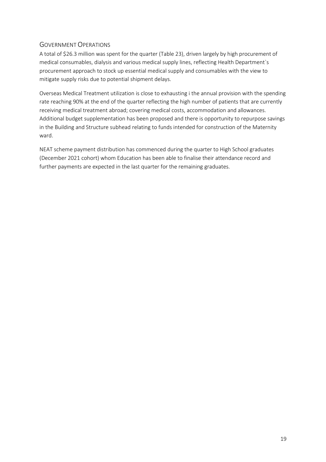# <span id="page-18-0"></span>GOVERNMENT OPERATIONS

A total of \$26.3 million was spent for the quarter (Table 23), driven largely by high procurement of medical consumables, dialysis and various medical supply lines, reflecting Health Department`s procurement approach to stock up essential medical supply and consumables with the view to mitigate supply risks due to potential shipment delays.

Overseas Medical Treatment utilization is close to exhausting i the annual provision with the spending rate reaching 90% at the end of the quarter reflecting the high number of patients that are currently receiving medical treatment abroad; covering medical costs, accommodation and allowances. Additional budget supplementation has been proposed and there is opportunity to repurpose savings in the Building and Structure subhead relating to funds intended for construction of the Maternity ward.

NEAT scheme payment distribution has commenced during the quarter to High School graduates (December 2021 cohort) whom Education has been able to finalise their attendance record and further payments are expected in the last quarter for the remaining graduates.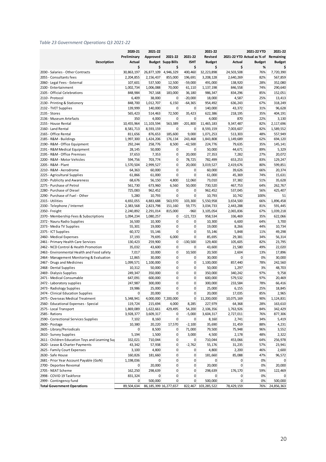#### *Table 23 Government Operations Q3 2021-22*

| 2020-21<br>2021-22<br>2021-22 YTD<br>2021-22                                                                              | 2021-22       |
|---------------------------------------------------------------------------------------------------------------------------|---------------|
| Revised<br>2021-22 YTD Actual as % of Remaining<br>Preliminary<br>Approved<br>2021-22<br>2021-22                          |               |
| <b>Budget Supp Bills</b><br><b>Description</b><br>Actual<br><b>ISHT</b><br><b>Budget</b><br>Actual<br><b>Budget</b>       | <b>Budget</b> |
| \$<br>\$<br>\$<br>\$<br>\$<br>\$<br>%                                                                                     | \$            |
| 2030 - Salaries - Other Contracts<br>30,863,197<br>26,877,109<br>4,946,329<br>400,460<br>32,223,898<br>24,503,508<br>76%  | 7,720,390     |
| 82%<br>2055 - Consultants fees<br>2,204,855<br>2,156,437<br>196,691<br>3,208,128<br>2,640,269<br>855,000                  | 567,859       |
| 28%<br>2060 - Legal Fees - External<br>107,601<br>537,500<br>12,500<br>$-59,000$<br>491,000<br>138,920                    | 352,080       |
| 2100 - Entertainment<br>1,002,734<br>1,006,088<br>70,000<br>61,110<br>1,137,198<br>846,558<br>74%                         | 290,640       |
| 2105 - Official Celebrations<br>848,984<br>36,180<br>986,347<br>834,296<br>85%<br>767,168<br>183,000                      | 152,051       |
| $-20,000$<br>4,587<br>25%<br>2110 - Protocol<br>6,409<br>38,000<br>0<br>18,000                                            | 13,413        |
| 848,700<br>1,012,707<br>954,492<br>67%<br>2130 - Printing & Stationery<br>6,150<br>$-64,365$<br>636,243                   | 318,249       |
| 139,999<br>140,000<br>2132 - TVET Supplies<br>140,000<br>0<br>0<br>43,372<br>31%                                          | 96,628        |
| 35,423<br>622,386<br>35%<br>2135 - Stores<br>565,423<br>514,463<br>72,500<br>218,195                                      | 404,191       |
| 22%<br>2136 - Museum Artefacts<br>350<br>4,000<br>0<br>0<br>4,000<br>870                                                  | 3,130         |
| 10,455,964<br>11, 103, 594<br>2155 - House Rental<br>563,389<br>$-201,800$<br>11,465,183<br>9,347,487<br>82%              | 2,117,696     |
| 2160 - Land Rental<br>8,581,713<br>8,593,159<br>8,593,159<br>7,003,607<br>82%<br>0<br>0                                   | 1,589,552     |
| 2165 - Office Rental<br>185,600<br>9,000<br>48%<br>811,656<br>876,653<br>1,071,253<br>513,303                             | 557,949       |
| 1,997,300<br>243,468<br>1,149,689<br>62%<br>2185 - R&M - Buildings<br>1,424,206<br>176,134<br>1,843,808                   | 694,120       |
| $-42,500$<br>35%<br>2190 - R&M - Office Equipment<br>292,244<br>258,776<br>8,500<br>224,776<br>79,635                     | 145,141       |
| 50,000<br>$\pmb{0}$<br>0<br>50,000<br>89%<br>2191 - R&M Medical Equipment<br>28,145<br>44,671                             | 5,329         |
| 2195 - R&M - Office Premises<br>37,653<br>7,353<br>0<br>20,000<br>27,353<br>7,282<br>27%                                  | 20,072        |
| 703,774<br>0<br>2200 - R&M - Motor Vehicles<br>594,756<br>78,725<br>782,499<br>653,253<br>83%                             | 129,247       |
| 2205 - R&M - Plant<br>1,570,504<br>0<br>80%<br>2,999,527<br>20,000<br>3,019,527<br>2,419,676                              | 599,851       |
| 2210 - R&M - Aerodrome<br>0<br>64,363<br>60,000<br>0<br>60,000<br>39,626<br>66%                                           | 20,374        |
| 61,000<br>0<br>0<br>61,000<br>45,369<br>74%<br>2225 - Agricultural Supplies<br>61,866                                     | 15,631        |
| 68,676<br>4,800<br>2230 - Publicity and Awareness<br>56,150<br>12,060<br>73,010<br>37,382<br>51%                          | 35,628        |
| 2275 - Purchase of Petrol<br>6,560<br>730,520<br>64%<br>561,730<br>673,960<br>50,000<br>467,753                           | 262,767       |
| 2280 - Purchase of Diesel<br>725,083<br>56%<br>962,452<br>0<br>0<br>962,452<br>537,045                                    | 425,407       |
| 2290 - Purchase of Fuel - Other<br>5,280<br>0<br>0<br>10,793<br>100%<br>10,793<br>10,742                                  | 51            |
| 2315 - Utilities<br>4,692,055<br>4,883,688<br>563,970<br>103,300<br>5,550,958<br>3,654,500<br>66%                         | 1,896,458     |
| 2330 - Telephone / Internet<br>2,383,568<br>2,823,798<br>151,160<br>59,775<br>3,034,733<br>2,443,288<br>81%               | 591,445       |
| 2350 - Freight<br>2,240,892<br>2,291,014<br>-960<br>3,105,054<br>2,065,836<br>67%<br>815,000                              | 1,039,218     |
| 1,080,257<br>$-121,723$<br>958,534<br>35%<br>2370 - Membership Fees & Subscriptions<br>1,094,234<br>336,469<br>0          | 622,066       |
| 16,500<br>$\pmb{0}$<br>0<br>64%<br>2372 - Nauru Radio Supplies<br>10,300<br>10,300<br>6,600                               | 3,700         |
| $\pmb{0}$<br>0<br>2373 - Media TV Supplies<br>55,301<br>19,000<br>19,000<br>8,266<br>44%                                  | 10,734        |
| 0<br>60,372<br>0<br>55,146<br>5,848<br>11%<br>2375 - ICT Supplies<br>55,146                                               | 49,298        |
| 37,193<br>2460 - Medical Expenses<br>79,695<br>6,000<br>0<br>85,695<br>29,381<br>34%                                      | 56,314        |
| $-130,500$<br>82%<br>2461 - Primary Health Care Services<br>130,423<br>259,900<br>0<br>129,400<br>105,605                 | 23,795        |
| 0<br>2462 - NCD Control & Health Promotion<br>35,032<br>43,600<br>0<br>43,600<br>21,580<br>49%                            | 22,020        |
| 7,017<br>0<br>10,500<br>2,604<br>2463 - Environmental Health and Food safety<br>10,000<br>20,500<br>13%                   | 17,896        |
| 30,000<br>0<br>30,000<br>0<br>0%<br>2464 - Management Monitoring & Evaluation<br>12,865<br>0                              | 30,000        |
| 1,099,571<br>0<br>0<br>1,100,000<br>78%<br>2467 - Drugs and Medicines<br>1,100,000<br>857,440                             | 242,560       |
| 0<br>0<br>50,000<br>3%<br>2468 - Dental Supplies<br>10,312<br>50,000<br>1,297                                             | 48,703        |
| 249,347<br>350,000<br>0<br>0<br>350,000<br>97%<br>2469 - Dialysis Supplies<br>340,242                                     | 9,758         |
| 0<br>0<br>600,000<br>97%<br>2471 - Medical Consumable<br>647,091<br>600,000<br>579,532                                    | 20,469        |
| 0<br>0<br>78%<br>2472 - Laboratory supplies<br>247,987<br>300,000<br>300,000<br>233,584                                   | 66,416        |
| 0<br>0<br>25%<br>2473 - Radiology Supplies<br>19,986<br>25,000<br>25,000<br>6,155                                         | 18,845        |
| 20,000<br>$\Omega$<br>0<br>20,000<br>17,035<br>85%<br>2474 - Clinical Education Supplies<br>0                             | 2,965         |
| 2475 - Overseas Medical Treatment<br>5,348,941<br>4,000,000 7,200,000<br>0<br>11,200,000<br>10,075,169<br>90%             | 1,124,831     |
| 227,979<br>2560 - Educational Expenses - Special<br>119,724<br>215,694<br>4,000<br>8,285<br>64,368<br>28%                 | 163,610       |
| 1,622,661<br>2575 - Local Transport<br>1,869,089<br>429,495<br>54,200<br>2,106,356<br>1,763,926<br>84%                    | 342,429       |
| 2585 - Rations<br>3,928,377<br>3,609,317<br>0<br>$-5,000$<br>3,604,317<br>2,727,011<br>76%                                | 877,306       |
| 2590 - Correctional Services Supplies<br>34%<br>7,102<br>8,160<br>0<br>0<br>8,160<br>2,741                                | 5,419         |
| 20,220<br>$-2,100$<br>35,690<br>31,459<br>88%<br>2600 - Postage<br>10,380<br>17,570                                       | 4,231         |
| 2605 - Library/Periodicals<br>8,500<br>0<br>71,000<br>79,500<br>75,948<br>96%<br>0<br>2610 - Survey Supplies<br>5,194     | 3,552         |
| 1,500<br>3,000<br>4,500<br>2,178<br>48%<br>0                                                                              | 2,322         |
| 710,044<br>2611 - Children Education Toys and Learning Sup<br>332,021<br>0<br>710,044<br>453,066<br>64%<br>0              | 256,978       |
| 2620 - Lease & Charter Payments<br>43,342<br>57,938<br>0<br>$-2,762$<br>55,176<br>31,235<br>57%                           | 23,941        |
| 0<br>4,800<br>2625 - Family Court Expenses<br>3,100<br>4,800<br>0<br>2,200<br>46%                                         | 2,600         |
| 2630 - Safe House<br>160,826<br>181,660<br>0<br>0<br>181,660<br>85,088<br>47%                                             | 96,572        |
| 0<br>2681 - Prior Year Account Payable (GoN)<br>1,198,036<br>0<br>0<br>0<br>0<br>0%                                       | 0             |
| 0<br>2700 - Deportee Revomal<br>20,000<br>0<br>0<br>0<br>20,000<br>0%                                                     | 20,000        |
| 2705 - NEAT Scheme<br>162,250<br>298,639<br>0<br>0<br>298,639<br>176,170<br>59%<br>831,324<br>0<br>0<br>0<br>0<br>0<br>0% | 122,469       |
| 2998 - COVID 19 Taskforce<br>2999 - Contingency fund<br>500,000<br>500,000<br>0<br>0<br>0<br>0%<br>0                      | 0<br>500,000  |
| 78,429,159<br><b>Total Government Operations</b><br>89,504,634<br>86, 185, 399 16, 277, 657<br>822,467 103,285,522<br>76% | 24,856,363    |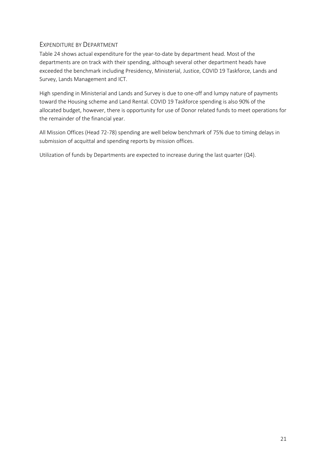# <span id="page-20-0"></span>EXPENDITURE BY DEPARTMENT

Table 24 shows actual expenditure for the year-to-date by department head. Most of the departments are on track with their spending, although several other department heads have exceeded the benchmark including Presidency, Ministerial, Justice, COVID 19 Taskforce, Lands and Survey, Lands Management and ICT.

High spending in Ministerial and Lands and Survey is due to one-off and lumpy nature of payments toward the Housing scheme and Land Rental. COVID 19 Taskforce spending is also 90% of the allocated budget, however, there is opportunity for use of Donor related funds to meet operations for the remainder of the financial year.

All Mission Offices (Head 72-78) spending are well below benchmark of 75% due to timing delays in submission of acquittal and spending reports by mission offices.

Utilization of funds by Departments are expected to increase during the last quarter (Q4).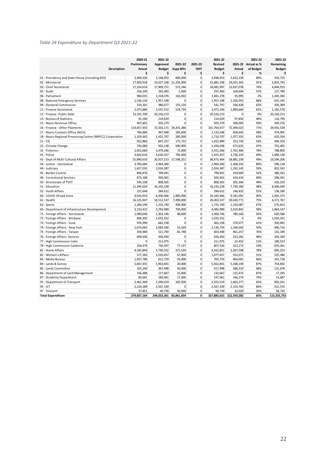#### *Table 24 Expenditure by Department Q3 2021-22*

|                                                           | 2020-21       | 2021-22                |                       |                | 2021-22       |             | 2021-22             | 2021-22       |
|-----------------------------------------------------------|---------------|------------------------|-----------------------|----------------|---------------|-------------|---------------------|---------------|
|                                                           | Preliminary   | Approved               | 2021-22               | 2021-22        | Revised       |             | 2021-22 Actual as % | Remaining     |
| <b>Description</b>                                        | <b>Actual</b> | <b>Budget</b>          | <b>Supp Bills</b>     | <b>ISHT</b>    | <b>Budget</b> | Actual      | of Budget           | <b>Budget</b> |
|                                                           | \$            | \$                     | \$                    | \$             | \$            | \$          | %                   | \$            |
| 01 - Presidency and State House (including GIO)           | 2,699,326     | 2,148,953              | 800,000               | $\overline{0}$ | 2,948,953     | 2,632,228   | 89%                 | 316,725       |
| 02 - Ministerial                                          | 17,903,918    | 10,627,108             | 21,254,000            | $\mathbf{0}$   | 31,881,108    | 29,025,363  | 91%                 | 2,855,745     |
| 03 - Chief Secretariat                                    | 17,254,614    | 17,909,751             | 572,246               | $\mathbf{0}$   | 18,481,997    | 13,637,078  | 74%                 | 4,844,919     |
| 05 - Audit                                                | 256,249       | 292,483                | 5,000                 | 0              | 297,483       | 169,694     | 57%                 | 127,789       |
| 06 - Parliament                                           | 960,015       | 1,318,376              | 163,002               | 0              | 1,481,378     | 35,995      | 2%                  | 1,445,383     |
| 08 - National Emergency Services                          | 1,536,116     | 1,957,198              | $\mathbf 0$           | 0              | 1,957,198     | 1,326,053   | 68%                 | 631,145       |
| 09 - Electoral Commission                                 | 333,261       | 386,677                | 155,120               | 0              | 541,797       | 336,428     | 62%                 | 205,369       |
| 11 - Finance Secretariat                                  | 2,073,886     | 2,547,512              | 524,734               | $\mathbf{0}$   | 3,072,246     | 1,890,669   | 62%                 | 1,181,578     |
| 12 - Finance - Public Debt                                | 13, 191, 700  | 20,226,213             | $\mathbf 0$           | $\mathbf{0}$   | 20,226,213    | $\mathbf 0$ | 0%                  | 20,226,213    |
| 13 - Bureau of Statistics                                 | 91,184        | 214,629                | $\mathbf 0$           | 0              | 214,629       | 97,830      | 46%                 | 116,799       |
| 15 - Nauru Revenue Office                                 | 407,601       | 505,279                | $\Omega$              | 0              | 505,279       | 296,003     | 59%                 | 209,276       |
| 16 - Finance - Other Payments                             | 114,657,442   | 72,563,171             | 29,201,386            | 0              | 101,764,557   | 72,309,023  | 71%                 | 29,455,534    |
| 17 - Nauru Customs Office (NCO)                           | 766,884       | 947,948                | 185,600               | $\mathbf{0}$   | 1,133,548     | 658,643     | 58%                 | 474,905       |
| 18 - Nauru Regional Processing Centre (NRPCC) Corporation | 1,329,362     | 1,425,707              | 285,000               | $\mathbf{0}$   | 1,710,707     | 1,077,353   | 63%                 | 633,354       |
| $21 - CIE$                                                | 922,866       | 847,257                | 175,732               | 0              | 1,022,989     | 553,734     | 54%                 | 469,254       |
| 22 - Climate Change                                       | 743,084       | 925,138                | 500,900               | 0              | 1,426,038     | 673,633     | 47%                 | 752,405       |
| 31 - Fisheries                                            | 2,652,660     | 3,479,266              | 72,000                | $\mathbf{0}$   | 3,551,266     | 2,762,466   | 78%                 | 788,800       |
| 41 - Police                                               | 4,602,616     | 4,630,357              | 785,000               | $\mathbf{0}$   | 5,415,357     | 3,726,229   | 69%                 | 1,689,128     |
| 42 - Dept of Multi Cultural Affairs                       | 25,890,633    |                        | 20,927,213 17,548,251 | 0              | 38,475,464    | 18,881,258  | 49%                 | 19,594,206    |
| 43 - Justice - Secretariat                                | 3,785,684     | 2,964,360              | $\mathbf 0$           | 0              | 2,964,360     | 2,368,242   | 80%                 | 596,118       |
| 44 - Judiciary                                            | 1,627,035     | 2,024,387              | $\mathbf 0$           | 0              | 2,024,387     | 1,192,145   | 59%                 | 832,242       |
| 45 - Border Control                                       | 894,876       | 799,941                | 0                     | 0              | 799,941       | 419,600     | 52%                 | 380,341       |
| 46 - Correctional Services                                | 873,168       | 920,461                | $\mathbf 0$           | $\Omega$       | 920,461       | 634,419     | 69%                 | 286,041       |
| 50 - Directorate of TVET                                  | 545,538       | 808,565                | $\mathbf 0$           | $\mathbf{0}$   | 808,565       | 392,306     | 49%                 | 416,259       |
| 51 - Education                                            | 11,294,024    | 16,235,228             | $\mathbf 0$           | 0              | 16,235,228    | 7,739,180   | 48%                 | 8,496,049     |
| 52 - Youth Affairs                                        | 227,644       | 284.612                | $\Omega$              | $\mathbf{0}$   | 284,612       | 146,432     | 51%                 | 138,180       |
| 60 - COVID-19 task force                                  | 9,016,914     | 8,300,466              | 1,883,000             | $\mathbf{0}$   | 10,183,466    | 9,181,091   | 90%                 | 1,002,375     |
| 61 - Health                                               | 16, 125, 947  | 18,512,537             | 7,490,000             | $\overline{0}$ | 26,002,537    | 19,630,771  | 75%                 | 6,371,767     |
| 62 - Sports                                               | 1,260,194     | 1,325,740              | 400,000               | $\mathbf{0}$   | 1,725,740     | 1,150,087   | 67%                 | 575,653       |
| 63 - Department of Infrastructure Development             | 3,133,422     | 3,783,989              | 700,000               | $\mathbf{0}$   | 4,483,989     | 2,619,842   | 58%                 | 1,864,147     |
| 71 - Foreign Affairs - Secretariat                        | 1,090,046     | 1,302,146              | 98,600                | $\mathbf{0}$   | 1,400,746     | 780,160     | 56%                 | 620,586       |
| 72 - Foreign Affairs - Brisbane                           | 869,305       | 1,033,352              | 0                     | $\mathbf{0}$   | 1,033,352     | $\mathbf 0$ | 0%                  | 1,033,352     |
| 73 - Foreign Affairs - Suva                               | 976,999       | 662,158                | $\mathbf 0$           | $\mathbf{0}$   | 662,158       | 270,077     | 41%                 | 392,081       |
| 74 - Foreign Affairs - New York                           | 1,674,063     | 2,083,590              | 53,169                | 0              | 2,136,759     | 1,146,043   | 54%                 | 990,716       |
| 75 - Foreign Affairs - Taiwan                             | 359,484       | 521,700                | 81,748                | $\Omega$       | 603,448       | 461,257     | 76%                 | 142,190       |
| 76 - Foreign Affairs- Geneva                              | 609,636       | 656,450                | 0                     | 0              | 656,450       | 313,281     | 48%                 | 343,169       |
| 77 - High Commission India                                | 0             | 211,975                | 0                     | 0              | 211,975       | 22,452      | 11%                 | 189,523       |
| 78 - High Commission Canberra                             | 250,479       | 730,397                | 77,137                | $\mathbf{0}$   | 807,534       | 152,273     | 19%                 | 655,261       |
| 81 - Home Affairs                                         | 4,185,849     | 3,790,322              | 372,529               | $\mathbf{0}$   | 4,162,851     | 3,267,598   | 78%                 | 895,253       |
| 82 - Women's Affairs                                      | 577,283       | 1,010,457              | 67,000                | 0              | 1,077,457     | 552,071     | 51%                 | 525,386       |
| 83 - Media Bureau                                         | 1,037,786     | 612,729                | 93,000                | 0              | 705,729       | 464,001     | 66%                 | 241,728       |
| 84 - Lands & Survey                                       | 5,847,455     | 5,902,841              | 20,000                | $\mathbf{0}$   | 5,922,841     | 5,168,149   | 87%                 | 754,692       |
| 85 - Lands Committee                                      | 325,240       | 367,998                | 50,000                | 0              | 417,998       | 286,319     | 68%                 | 131,678       |
| 86 - Department of Land Management                        | 156,488       | 117,667                | 15,000                | $\mathbf{0}$   | 132,667       | 115,472     | 87%                 | 17,195        |
| 87 - Disability Department                                | 85,681        | 180,961                | 17,000                | 0              | 197,961       | 146,274     | 74%                 | 51,687        |
| 91 - Department of Transport                              | 2,461,369     | 2,390,019              | 165,500               | 0              | 2,555,519     | 1,663,277   | 65%                 | 892,241       |
| 95 - ICT                                                  | 2,234,289     | 2,567,339              | 0                     | $\mathbf{0}$   | 2,567,339     | 2,154,763   | 84%                 | 412,576       |
| 97 - Telecom                                              | 37,851        | 40,739                 | 50,000                | $\overline{0}$ | 90,739        | 32,020      | 35%                 | 58,720        |
| <b>Total Expenditure</b>                                  | 279,837,164   | 244,023,361 83,861,654 |                       | $\mathbf{0}$   | 327,885,015   | 212,559,282 | 65%                 | 115,325,733   |